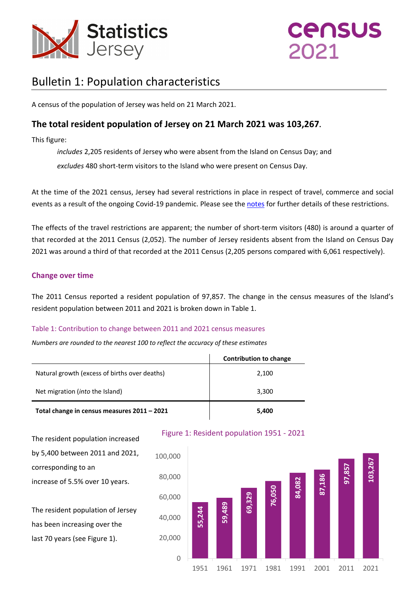

# **CENSUS**  $2021$

# Bulletin 1: Population characteristics

A census of the population of Jersey was held on 21 March 2021.

### **The total resident population of Jersey on 21 March 2021 was 103,267.**

This figure:

*includes* 2,205 residents of Jersey who were absent from the Island on Census Day; and

*excludes* 480 short-term visitors to the Island who were present on Census Day.

At the time of the 2021 census, Jersey had several restrictions in place in respect of travel, commerce and social events as a result of the ongoing Covid-19 pandemic. Please see the [notes](#page-15-0) for further details of these restrictions.

The effects of the travel restrictions are apparent; the number of short-term visitors (480) is around a quarter of that recorded at the 2011 Census (2,052). The number of Jersey residents absent from the Island on Census Day 2021 was around a third of that recorded at the 2011 Census (2,205 persons compared with 6,061 respectively).

#### **Change over time**

The 2011 Census reported a resident population of 97,857. The change in the census measures of the Island's resident population between 2011 and 2021 is broken down in Table 1.

#### Table 1: Contribution to change between 2011 and 2021 census measures

*Numbers are rounded to the nearest 100 to reflect the accuracy of these estimates*

|                                               | <b>Contribution to change</b> |
|-----------------------------------------------|-------------------------------|
| Natural growth (excess of births over deaths) | 2,100                         |
| Net migration ( <i>into</i> the Island)       | 3,300                         |
| Total change in census measures 2011 - 2021   | 5,400                         |



The resident population increased by 5,400 between 2011 and 2021, corresponding to an increase of 5.5% over 10 years.

The resident population of Jersey has been increasing over the last 70 years (see Figure 1).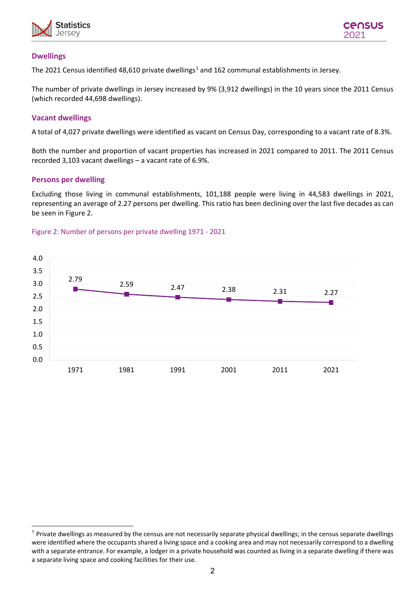



#### **Dwellings**

The 202[1](#page-1-0) Census identified 48,610 private dwellings<sup>1</sup> and 162 communal establishments in Jersey.

The number of private dwellings in Jersey increased by 9% (3,912 dwellings) in the 10 years since the 2011 Census (which recorded 44,698 dwellings).

#### **Vacant dwellings**

A total of 4,027 private dwellings were identified as vacant on Census Day, corresponding to a vacant rate of 8.3%.

Both the number and proportion of vacant properties has increased in 2021 compared to 2011. The 2011 Census recorded 3,103 vacant dwellings – a vacant rate of 6.9%.

#### **Persons per dwelling**

Excluding those living in communal establishments, 101,188 people were living in 44,583 dwellings in 2021, representing an average of 2.27 persons per dwelling. This ratio has been declining over the last five decades as can be seen in Figure 2.

#### Figure 2: Number of persons per private dwelling 1971 - 2021



<span id="page-1-0"></span> $1$  Private dwellings as measured by the census are not necessarily separate physical dwellings; in the census separate dwellings were identified where the occupants shared a living space and a cooking area and may not necessarily correspond to a dwelling with a separate entrance. For example, a lodger in a private household was counted as living in a separate dwelling if there was a separate living space and cooking facilities for their use.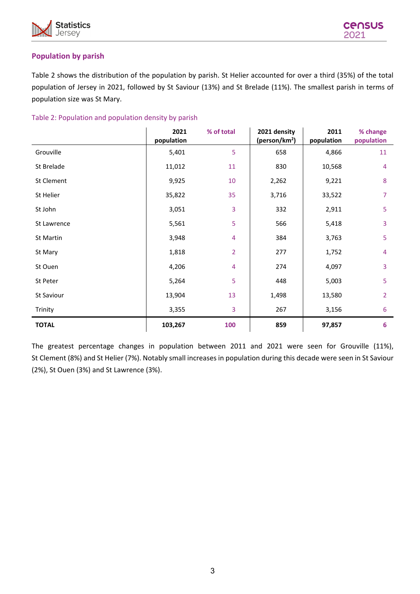



#### **Population by parish**

Table 2 shows the distribution of the population by parish. St Helier accounted for over a third (35%) of the total population of Jersey in 2021, followed by St Saviour (13%) and St Brelade (11%). The smallest parish in terms of population size was St Mary.

| Table 2: Population and population density by parish |  |
|------------------------------------------------------|--|
|                                                      |  |

|              | 2021<br>population | % of total     | 2021 density<br>(person/km <sup>2</sup> ) | 2011<br>population | % change<br>population |
|--------------|--------------------|----------------|-------------------------------------------|--------------------|------------------------|
| Grouville    | 5,401              | 5              | 658                                       | 4,866              | 11                     |
| St Brelade   | 11,012             | 11             | 830                                       | 10,568             | $\overline{4}$         |
| St Clement   | 9,925              | 10             | 2,262                                     | 9,221              | 8                      |
| St Helier    | 35,822             | 35             | 3,716                                     | 33,522             | $\overline{7}$         |
| St John      | 3,051              | 3              | 332                                       | 2,911              | 5                      |
| St Lawrence  | 5,561              | 5              | 566                                       | 5,418              | 3                      |
| St Martin    | 3,948              | 4              | 384                                       | 3,763              | 5                      |
| St Mary      | 1,818              | $\overline{2}$ | 277                                       | 1,752              | $\overline{4}$         |
| St Ouen      | 4,206              | 4              | 274                                       | 4,097              | 3                      |
| St Peter     | 5,264              | 5              | 448                                       | 5,003              | 5                      |
| St Saviour   | 13,904             | 13             | 1,498                                     | 13,580             | $\overline{2}$         |
| Trinity      | 3,355              | 3              | 267                                       | 3,156              | 6                      |
| <b>TOTAL</b> | 103,267            | 100            | 859                                       | 97,857             | 6                      |

The greatest percentage changes in population between 2011 and 2021 were seen for Grouville (11%), St Clement (8%) and St Helier (7%). Notably small increases in population during this decade were seen in St Saviour (2%), St Ouen (3%) and St Lawrence (3%).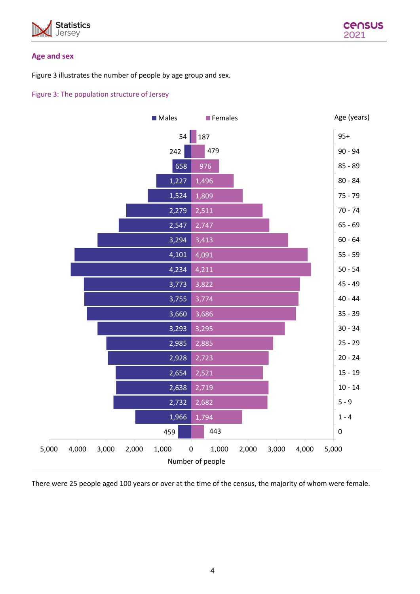



#### **Age and sex**

Figure 3 illustrates the number of people by age group and sex.

#### Figure 3: The population structure of Jersey



There were 25 people aged 100 years or over at the time of the census, the majority of whom were female.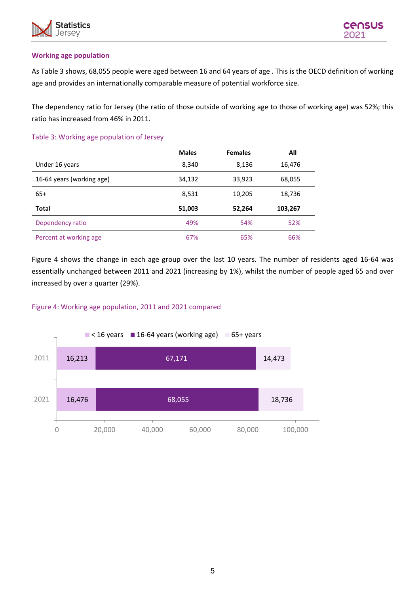

#### **Working age population**

As Table 3 shows, 68,055 people were aged between 16 and 64 years of age . This is the OECD definition of working age and provides an internationally comparable measure of potential workforce size.

The dependency ratio for Jersey (the ratio of those outside of working age to those of working age) was 52%; this ratio has increased from 46% in 2011.

#### Table 3: Working age population of Jersey

|                           | <b>Males</b> | <b>Females</b> | All     |
|---------------------------|--------------|----------------|---------|
| Under 16 years            | 8,340        | 8,136          | 16,476  |
| 16-64 years (working age) | 34,132       | 33,923         | 68,055  |
| $65+$                     | 8,531        | 10,205         | 18,736  |
| <b>Total</b>              | 51,003       | 52,264         | 103,267 |
| Dependency ratio          | 49%          | 54%            | 52%     |
| Percent at working age    | 67%          | 65%            | 66%     |

Figure 4 shows the change in each age group over the last 10 years. The number of residents aged 16-64 was essentially unchanged between 2011 and 2021 (increasing by 1%), whilst the number of people aged 65 and over increased by over a quarter (29%).

#### Figure 4: Working age population, 2011 and 2021 compared

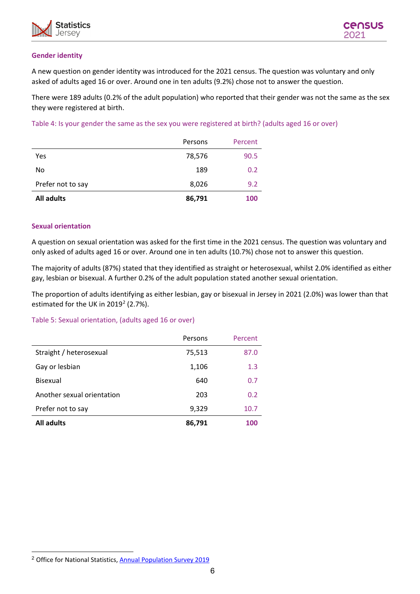



#### **Gender identity**

A new question on gender identity was introduced for the 2021 census. The question was voluntary and only asked of adults aged 16 or over. Around one in ten adults (9.2%) chose not to answer the question.

There were 189 adults (0.2% of the adult population) who reported that their gender was not the same as the sex they were registered at birth.

Table 4: Is your gender the same as the sex you were registered at birth? (adults aged 16 or over)

| <b>All adults</b> | 86,791  | 100     |
|-------------------|---------|---------|
| Prefer not to say | 8,026   | 9.2     |
| No                | 189     | 0.2     |
| Yes               | 78,576  | 90.5    |
|                   | Persons | Percent |

#### **Sexual orientation**

A question on sexual orientation was asked for the first time in the 2021 census. The question was voluntary and only asked of adults aged 16 or over. Around one in ten adults (10.7%) chose not to answer this question.

The majority of adults (87%) stated that they identified as straight or heterosexual, whilst 2.0% identified as either gay, lesbian or bisexual. A further 0.2% of the adult population stated another sexual orientation.

The proportion of adults identifying as either lesbian, gay or bisexual in Jersey in 2021 (2.0%) was lower than that estimated for the UK in  $2019^2$  $2019^2$  (2.7%).

#### Table 5: Sexual orientation, (adults aged 16 or over)

|                            | Persons | Percent |
|----------------------------|---------|---------|
| Straight / heterosexual    | 75,513  | 87.0    |
| Gay or lesbian             | 1,106   | 1.3     |
| <b>Bisexual</b>            | 640     | 0.7     |
| Another sexual orientation | 203     | 0.2     |
| Prefer not to say          | 9,329   | 10.7    |
| <b>All adults</b>          | 86,791  | 100     |

<span id="page-5-0"></span><sup>&</sup>lt;sup>2</sup> Office for National Statistics[, Annual Population Survey 2019](https://www.ons.gov.uk/peoplepopulationandcommunity/culturalidentity/sexuality/bulletins/sexualidentityuk/2019)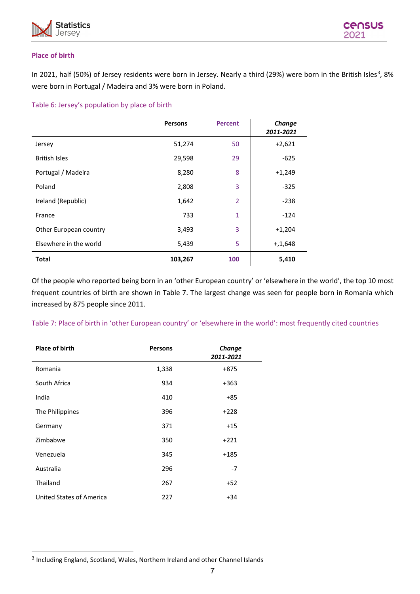



#### **Place of birth**

In 2021, half (50%) of Jersey residents were born in Jersey. Nearly a third (29%) were born in the British Isles<sup>[3](#page-6-0)</sup>, 8% were born in Portugal / Madeira and 3% were born in Poland.

#### Table 6: Jersey's population by place of birth

|                        | <b>Persons</b> | <b>Percent</b> | Change<br>2011-2021 |
|------------------------|----------------|----------------|---------------------|
| Jersey                 | 51,274         | 50             | $+2,621$            |
| <b>British Isles</b>   | 29,598         | 29             | $-625$              |
| Portugal / Madeira     | 8,280          | 8              | $+1,249$            |
| Poland                 | 2,808          | 3              | $-325$              |
| Ireland (Republic)     | 1,642          | 2              | $-238$              |
| France                 | 733            | 1              | $-124$              |
| Other European country | 3,493          | 3              | $+1,204$            |
| Elsewhere in the world | 5,439          | 5              | $+, 1, 648$         |
| <b>Total</b>           | 103,267        | 100            | 5,410               |

Of the people who reported being born in an 'other European country' or 'elsewhere in the world', the top 10 most frequent countries of birth are shown in Table 7. The largest change was seen for people born in Romania which increased by 875 people since 2011.

Table 7: Place of birth in 'other European country' or 'elsewhere in the world': most frequently cited countries

| <b>Place of birth</b>    | <b>Persons</b> | Change<br>2011-2021 |
|--------------------------|----------------|---------------------|
| Romania                  | 1,338          | $+875$              |
| South Africa             | 934            | $+363$              |
| India                    | 410            | +85                 |
| The Philippines          | 396            | $+228$              |
| Germany                  | 371            | $+15$               |
| Zimbabwe                 | 350            | $+221$              |
| Venezuela                | 345            | $+185$              |
| Australia                | 296            | $-7$                |
| Thailand                 | 267            | $+52$               |
| United States of America | 227            | $+34$               |

<span id="page-6-0"></span><sup>3</sup> Including England, Scotland, Wales, Northern Ireland and other Channel Islands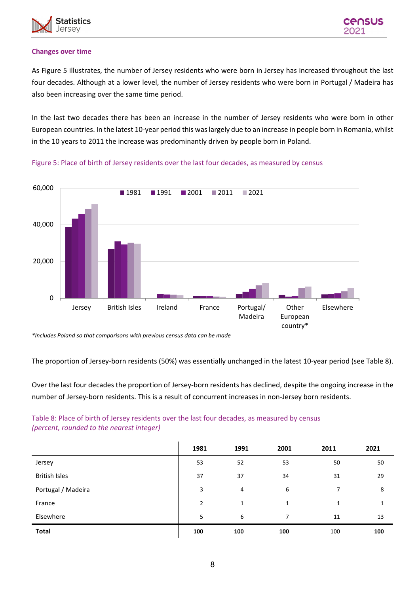

#### **Changes over time**

As Figure 5 illustrates, the number of Jersey residents who were born in Jersey has increased throughout the last four decades. Although at a lower level, the number of Jersey residents who were born in Portugal / Madeira has also been increasing over the same time period.

In the last two decades there has been an increase in the number of Jersey residents who were born in other European countries. In the latest 10-year period this was largely due to an increase in people born in Romania, whilst in the 10 years to 2011 the increase was predominantly driven by people born in Poland.



Figure 5: Place of birth of Jersey residents over the last four decades, as measured by census

*\*Includes Poland so that comparisons with previous census data can be made*

The proportion of Jersey-born residents (50%) was essentially unchanged in the latest 10-year period (see Table 8).

Over the last four decades the proportion of Jersey-born residents has declined, despite the ongoing increase in the number of Jersey-born residents. This is a result of concurrent increases in non-Jersey born residents.

Table 8: Place of birth of Jersey residents over the last four decades, as measured by census *(percent, rounded to the nearest integer)*

|                      | 1981 | 1991 | 2001         | 2011 | 2021 |
|----------------------|------|------|--------------|------|------|
| Jersey               | 53   | 52   | 53           | 50   | 50   |
| <b>British Isles</b> | 37   | 37   | 34           | 31   | 29   |
| Portugal / Madeira   | 3    | 4    | 6            | 7    | 8    |
| France               | 2    | 1    | $\mathbf{1}$ | 1    | 1    |
| Elsewhere            | 5    | 6    | 7            | 11   | 13   |
| <b>Total</b>         | 100  | 100  | 100          | 100  | 100  |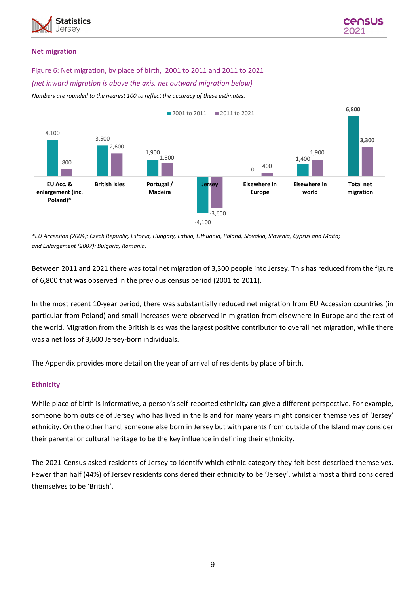

#### **Net migration**

#### Figure 6: Net migration, by place of birth, 2001 to 2011 and 2011 to 2021

#### *(net inward migration is above the axis, net outward migration below)*

*Numbers are rounded to the nearest 100 to reflect the accuracy of these estimates.*



*\*EU Accession (2004): Czech Republic, Estonia, Hungary, Latvia, Lithuania, Poland, Slovakia, Slovenia; Cyprus and Malta; and Enlargement (2007): Bulgaria, Romania.*

Between 2011 and 2021 there was total net migration of 3,300 people into Jersey. This has reduced from the figure of 6,800 that was observed in the previous census period (2001 to 2011).

In the most recent 10-year period, there was substantially reduced net migration from EU Accession countries (in particular from Poland) and small increases were observed in migration from elsewhere in Europe and the rest of the world. Migration from the British Isles was the largest positive contributor to overall net migration, while there was a net loss of 3,600 Jersey-born individuals.

The Appendix provides more detail on the year of arrival of residents by place of birth.

#### **Ethnicity**

While place of birth is informative, a person's self-reported ethnicity can give a different perspective. For example, someone born outside of Jersey who has lived in the Island for many years might consider themselves of 'Jersey' ethnicity. On the other hand, someone else born in Jersey but with parents from outside of the Island may consider their parental or cultural heritage to be the key influence in defining their ethnicity.

The 2021 Census asked residents of Jersey to identify which ethnic category they felt best described themselves. Fewer than half (44%) of Jersey residents considered their ethnicity to be 'Jersey', whilst almost a third considered themselves to be 'British'.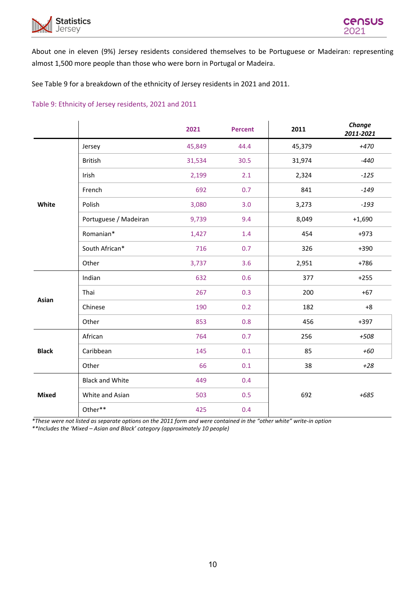

About one in eleven (9%) Jersey residents considered themselves to be Portuguese or Madeiran: representing almost 1,500 more people than those who were born in Portugal or Madeira.

See Table 9 for a breakdown of the ethnicity of Jersey residents in 2021 and 2011.

#### Table 9: Ethnicity of Jersey residents, 2021 and 2011

|              |                        | 2021   | <b>Percent</b> | 2011   | Change<br>2011-2021 |
|--------------|------------------------|--------|----------------|--------|---------------------|
|              | Jersey                 | 45,849 | 44.4           | 45,379 | $+470$              |
|              | <b>British</b>         | 31,534 | 30.5           | 31,974 | $-440$              |
|              | Irish                  | 2,199  | 2.1            | 2,324  | $-125$              |
|              | French                 | 692    | 0.7            | 841    | $-149$              |
| White        | Polish                 | 3,080  | 3.0            | 3,273  | $-193$              |
|              | Portuguese / Madeiran  | 9,739  | 9.4            | 8,049  | $+1,690$            |
|              | Romanian*              | 1,427  | 1.4            | 454    | $+973$              |
|              | South African*         | 716    | 0.7            | 326    | $+390$              |
|              | Other                  | 3,737  | 3.6            | 2,951  | $+786$              |
| Asian        | Indian                 | 632    | 0.6            | 377    | $+255$              |
|              | Thai                   | 267    | 0.3            | 200    | $+67$               |
|              | Chinese                | 190    | 0.2            | 182    | $+8$                |
|              | Other                  | 853    | 0.8            | 456    | $+397$              |
|              | African                | 764    | 0.7            | 256    | +508                |
| <b>Black</b> | Caribbean              | 145    | 0.1            | 85     | +60                 |
|              | Other                  | 66     | 0.1            | 38     | $+28$               |
|              | <b>Black and White</b> | 449    | 0.4            |        |                     |
| <b>Mixed</b> | White and Asian        | 503    | 0.5            | 692    | $+685$              |
|              | Other**                | 425    | 0.4            |        |                     |

*\*These were not listed as separate options on the 2011 form and were contained in the "other white" write-in option* 

*\*\*Includes the 'Mixed – Asian and Black' category (approximately 10 people)*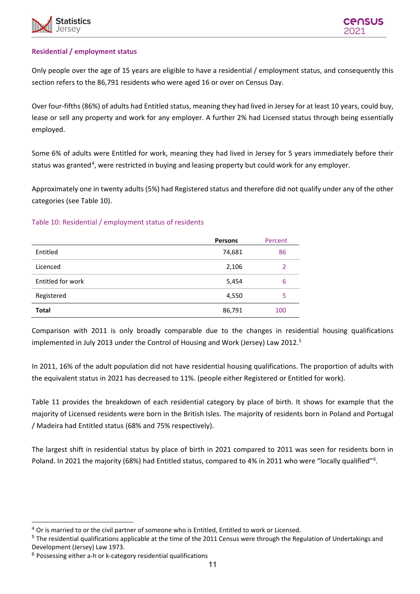

#### **Residential / employment status**

Only people over the age of 15 years are eligible to have a residential / employment status, and consequently this section refers to the 86,791 residents who were aged 16 or over on Census Day.

Over four-fifths (86%) of adults had Entitled status, meaning they had lived in Jersey for at least 10 years, could buy, lease or sell any property and work for any employer. A further 2% had Licensed status through being essentially employed.

Some 6% of adults were Entitled for work, meaning they had lived in Jersey for 5 years immediately before their status was granted<sup>[4](#page-10-0)</sup>, were restricted in buying and leasing property but could work for any employer.

Approximately one in twenty adults (5%) had Registered status and therefore did not qualify under any of the other categories (see Table 10).

#### Table 10: Residential / employment status of residents

|                   | <b>Persons</b> | Percent        |
|-------------------|----------------|----------------|
| Entitled          | 74,681         | 86             |
| Licenced          | 2,106          | $\overline{2}$ |
| Entitled for work | 5,454          | 6              |
| Registered        | 4,550          | 5              |
| <b>Total</b>      | 86,791         | 100            |

Comparison with 2011 is only broadly comparable due to the changes in residential housing qualifications implemented in July 2013 under the Control of Housing and Work (Jersey) Law 2012. [5](#page-10-1)

In 2011, 16% of the adult population did not have residential housing qualifications. The proportion of adults with the equivalent status in 2021 has decreased to 11%. (people either Registered or Entitled for work).

Table 11 provides the breakdown of each residential category by place of birth. It shows for example that the majority of Licensed residents were born in the British Isles. The majority of residents born in Poland and Portugal / Madeira had Entitled status (68% and 75% respectively).

The largest shift in residential status by place of birth in 2021 compared to 2011 was seen for residents born in Poland. In 2021 the majority ([6](#page-10-2)8%) had Entitled status, compared to 4% in 2011 who were "locally qualified"<sup>6</sup>.

<span id="page-10-0"></span><sup>&</sup>lt;sup>4</sup> Or is married to or the civil partner of someone who is Entitled, Entitled to work or Licensed.

<span id="page-10-1"></span><sup>5</sup> The residential qualifications applicable at the time of the 2011 Census were through the Regulation of Undertakings and Development (Jersey) Law 1973.

<span id="page-10-2"></span> $6$  Possessing either a-h or k-category residential qualifications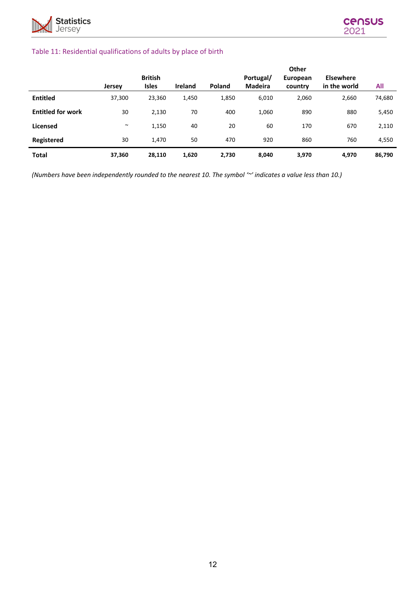

#### Table 11: Residential qualifications of adults by place of birth

|                          |               |                |                |        |                | <b>Other</b> |                  |        |
|--------------------------|---------------|----------------|----------------|--------|----------------|--------------|------------------|--------|
|                          |               | <b>British</b> |                |        | Portugal/      | European     | <b>Elsewhere</b> |        |
|                          | <b>Jersey</b> | <b>Isles</b>   | <b>Ireland</b> | Poland | <b>Madeira</b> | country      | in the world     | All    |
| <b>Entitled</b>          | 37,300        | 23,360         | 1,450          | 1,850  | 6,010          | 2,060        | 2,660            | 74,680 |
| <b>Entitled for work</b> | 30            | 2,130          | 70             | 400    | 1,060          | 890          | 880              | 5,450  |
| <b>Licensed</b>          | $\sim$        | 1,150          | 40             | 20     | 60             | 170          | 670              | 2,110  |
| Registered               | 30            | 1.470          | 50             | 470    | 920            | 860          | 760              | 4,550  |
| <b>Total</b>             | 37,360        | 28,110         | 1,620          | 2,730  | 8,040          | 3,970        | 4,970            | 86,790 |

*(Numbers have been independently rounded to the nearest 10. The symbol '~' indicates a value less than 10.)*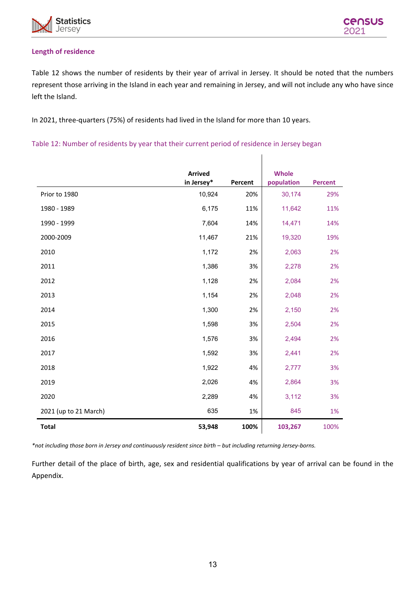

#### **Length of residence**

Table 12 shows the number of residents by their year of arrival in Jersey. It should be noted that the numbers represent those arriving in the Island in each year and remaining in Jersey, and will not include any who have since left the Island.

In 2021, three-quarters (75%) of residents had lived in the Island for more than 10 years.

Table 12: Number of residents by year that their current period of residence in Jersey began

|                       | <b>Arrived</b> |         | <b>Whole</b> |                |
|-----------------------|----------------|---------|--------------|----------------|
|                       | in Jersey*     | Percent | population   | <b>Percent</b> |
| Prior to 1980         | 10,924         | 20%     | 30,174       | 29%            |
| 1980 - 1989           | 6,175          | 11%     | 11,642       | 11%            |
| 1990 - 1999           | 7,604          | 14%     | 14,471       | 14%            |
| 2000-2009             | 11,467         | 21%     | 19,320       | 19%            |
| 2010                  | 1,172          | 2%      | 2,063        | 2%             |
| 2011                  | 1,386          | 3%      | 2,278        | 2%             |
| 2012                  | 1,128          | 2%      | 2,084        | 2%             |
| 2013                  | 1,154          | 2%      | 2,048        | 2%             |
| 2014                  | 1,300          | 2%      | 2,150        | 2%             |
| 2015                  | 1,598          | 3%      | 2,504        | 2%             |
| 2016                  | 1,576          | 3%      | 2,494        | 2%             |
| 2017                  | 1,592          | 3%      | 2,441        | 2%             |
| 2018                  | 1,922          | 4%      | 2,777        | 3%             |
| 2019                  | 2,026          | 4%      | 2,864        | 3%             |
| 2020                  | 2,289          | 4%      | 3,112        | 3%             |
| 2021 (up to 21 March) | 635            | 1%      | 845          | 1%             |
| <b>Total</b>          | 53,948         | 100%    | 103,267      | 100%           |

*\*not including those born in Jersey and continuously resident since birth – but including returning Jersey-borns.*

Further detail of the place of birth, age, sex and residential qualifications by year of arrival can be found in the Appendix.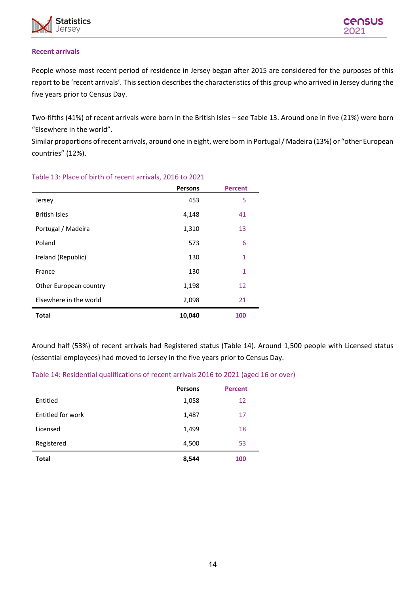

#### **Recent arrivals**

People whose most recent period of residence in Jersey began after 2015 are considered for the purposes of this report to be 'recent arrivals'. This section describes the characteristics of this group who arrived in Jersey during the five years prior to Census Day.

Two-fifths (41%) of recent arrivals were born in the British Isles – see Table 13. Around one in five (21%) were born "Elsewhere in the world".

Similar proportions of recent arrivals, around one in eight, were born in Portugal / Madeira (13%) or "other European countries" (12%).

|                        | <b>Persons</b> | <b>Percent</b> |
|------------------------|----------------|----------------|
| Jersey                 | 453            | 5              |
| <b>British Isles</b>   | 4,148          | 41             |
| Portugal / Madeira     | 1,310          | 13             |
| Poland                 | 573            | 6              |
| Ireland (Republic)     | 130            | $\mathbf{1}$   |
| France                 | 130            | 1              |
| Other European country | 1,198          | 12             |
| Elsewhere in the world | 2,098          | 21             |
| <b>Total</b>           | 10,040         | 100            |

#### Table 13: Place of birth of recent arrivals, 2016 to 2021

Around half (53%) of recent arrivals had Registered status (Table 14). Around 1,500 people with Licensed status (essential employees) had moved to Jersey in the five years prior to Census Day.

#### Table 14: Residential qualifications of recent arrivals 2016 to 2021 (aged 16 or over)

|                   | <b>Persons</b> | <b>Percent</b> |
|-------------------|----------------|----------------|
| Entitled          | 1,058          | 12             |
| Entitled for work | 1,487          | 17             |
| Licensed          | 1,499          | 18             |
| Registered        | 4,500          | 53             |
| <b>Total</b>      | 8,544          | 100            |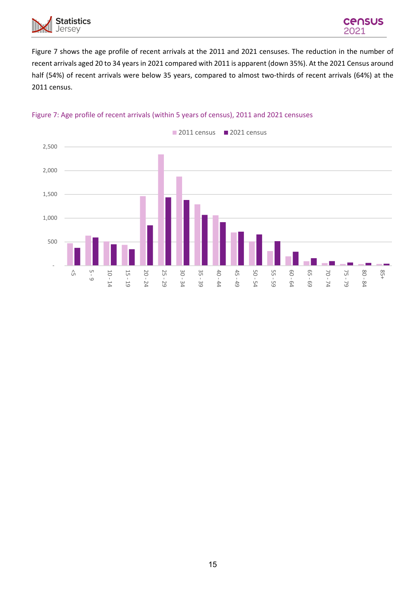



Figure 7 shows the age profile of recent arrivals at the 2011 and 2021 censuses. The reduction in the number of recent arrivals aged 20 to 34 years in 2021 compared with 2011 is apparent (down 35%). At the 2021 Census around half (54%) of recent arrivals were below 35 years, compared to almost two-thirds of recent arrivals (64%) at the 2011 census.



#### Figure 7: Age profile of recent arrivals (within 5 years of census), 2011 and 2021 censuses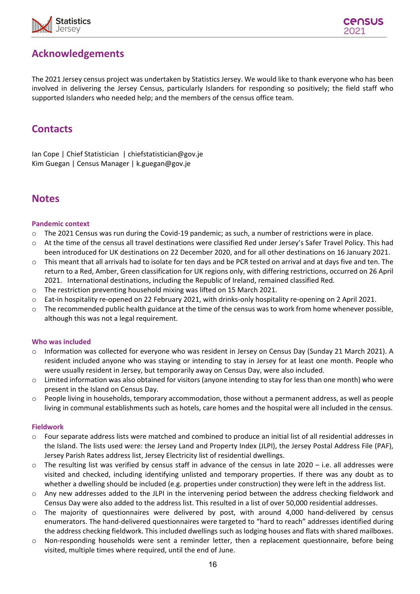

# **Acknowledgements**

The 2021 Jersey census project was undertaken by Statistics Jersey. We would like to thank everyone who has been involved in delivering the Jersey Census, particularly Islanders for responding so positively; the field staff who supported Islanders who needed help; and the members of the census office team.

## **Contacts**

Ian Cope | Chief Statistician | chiefstatistician@gov.je Kim Guegan | Census Manager | k.guegan@gov.je

## <span id="page-15-0"></span>**Notes**

#### **Pandemic context**

- o The 2021 Census was run during the Covid-19 pandemic; as such, a number of restrictions were in place.
- o At the time of the census all travel destinations were classified Red under Jersey's Safer Travel Policy. This had been introduced for UK destinations on 22 December 2020, and for all other destinations on 16 January 2021.
- $\circ$  This meant that all arrivals had to isolate for ten days and be PCR tested on arrival and at days five and ten. The return to a Red, Amber, Green classification for UK regions only, with differing restrictions, occurred on 26 April 2021. International destinations, including the Republic of Ireland, remained classified Red.
- $\circ$  The restriction preventing household mixing was lifted on 15 March 2021.
- o Eat-in hospitality re-opened on 22 February 2021, with drinks-only hospitality re-opening on 2 April 2021.
- $\circ$  The recommended public health guidance at the time of the census was to work from home whenever possible, although this was not a legal requirement.

#### **Who was included**

- o Information was collected for everyone who was resident in Jersey on Census Day (Sunday 21 March 2021). A resident included anyone who was staying or intending to stay in Jersey for at least one month. People who were usually resident in Jersey, but temporarily away on Census Day, were also included.
- $\circ$  Limited information was also obtained for visitors (anyone intending to stay for less than one month) who were present in the Island on Census Day.
- $\circ$  People living in households, temporary accommodation, those without a permanent address, as well as people living in communal establishments such as hotels, care homes and the hospital were all included in the census.

#### **Fieldwork**

- $\circ$  Four separate address lists were matched and combined to produce an initial list of all residential addresses in the Island. The lists used were: the Jersey Land and Property Index (JLPI), the Jersey Postal Address File (PAF), Jersey Parish Rates address list, Jersey Electricity list of residential dwellings.
- $\circ$  The resulting list was verified by census staff in advance of the census in late 2020 i.e. all addresses were visited and checked, including identifying unlisted and temporary properties. If there was any doubt as to whether a dwelling should be included (e.g. properties under construction) they were left in the address list.
- o Any new addresses added to the JLPI in the intervening period between the address checking fieldwork and Census Day were also added to the address list. This resulted in a list of over 50,000 residential addresses.
- $\circ$  The majority of questionnaires were delivered by post, with around 4,000 hand-delivered by census enumerators. The hand-delivered questionnaires were targeted to "hard to reach" addresses identified during the address checking fieldwork. This included dwellings such as lodging houses and flats with shared mailboxes.
- o Non-responding households were sent a reminder letter, then a replacement questionnaire, before being visited, multiple times where required, until the end of June.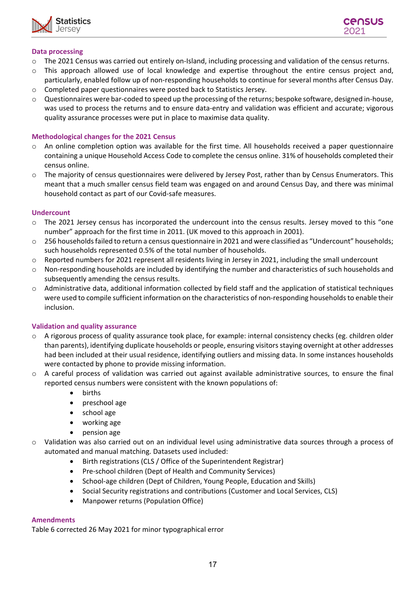



#### **Data processing**

- $\circ$  The 2021 Census was carried out entirely on-Island, including processing and validation of the census returns.
- $\circ$  This approach allowed use of local knowledge and expertise throughout the entire census project and, particularly, enabled follow up of non-responding households to continue for several months after Census Day.
- o Completed paper questionnaires were posted back to Statistics Jersey.
- o Questionnaires were bar-coded to speed up the processing of the returns; bespoke software, designed in-house, was used to process the returns and to ensure data-entry and validation was efficient and accurate; vigorous quality assurance processes were put in place to maximise data quality.

#### **Methodological changes for the 2021 Census**

- $\circ$  An online completion option was available for the first time. All households received a paper questionnaire containing a unique Household Access Code to complete the census online. 31% of households completed their census online.
- o The majority of census questionnaires were delivered by Jersey Post, rather than by Census Enumerators. This meant that a much smaller census field team was engaged on and around Census Day, and there was minimal household contact as part of our Covid-safe measures.

#### **Undercount**

- o The 2021 Jersey census has incorporated the undercount into the census results. Jersey moved to this "one number" approach for the first time in 2011. (UK moved to this approach in 2001).
- $\circ$  256 households failed to return a census questionnaire in 2021 and were classified as "Undercount" households; such households represented 0.5% of the total number of households.
- o Reported numbers for 2021 represent all residents living in Jersey in 2021, including the small undercount
- o Non-responding households are included by identifying the number and characteristics of such households and subsequently amending the census results.
- $\circ$  Administrative data, additional information collected by field staff and the application of statistical techniques were used to compile sufficient information on the characteristics of non-responding households to enable their inclusion.

#### **Validation and quality assurance**

- $\circ$  A rigorous process of quality assurance took place, for example: internal consistency checks (eg. children older than parents), identifying duplicate households or people, ensuring visitors staying overnight at other addresses had been included at their usual residence, identifying outliers and missing data. In some instances households were contacted by phone to provide missing information.
- A careful process of validation was carried out against available administrative sources, to ensure the final reported census numbers were consistent with the known populations of:
	- births
	- preschool age
	- school age
	- working age
	- pension age
- o Validation was also carried out on an individual level using administrative data sources through a process of automated and manual matching. Datasets used included:
	- Birth registrations (CLS / Office of the Superintendent Registrar)
	- Pre-school children (Dept of Health and Community Services)
	- School-age children (Dept of Children, Young People, Education and Skills)
	- Social Security registrations and contributions (Customer and Local Services, CLS)
	- Manpower returns (Population Office)

#### **Amendments**

Table 6 corrected 26 May 2021 for minor typographical error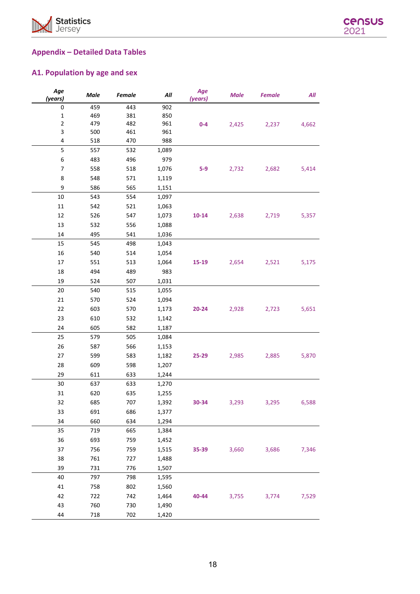



# **Appendix – Detailed Data Tables**

## **A1. Population by age and sex**

| Age<br>(years)           | Male | <b>Female</b> | All   | Age<br>(years) | <b>Male</b> | <b>Female</b> | All   |
|--------------------------|------|---------------|-------|----------------|-------------|---------------|-------|
| 0                        | 459  | 443           | 902   |                |             |               |       |
| $\mathbf 1$              | 469  | 381           | 850   |                |             |               |       |
| $\mathbf 2$              | 479  | 482           | 961   | $0-4$          | 2,425       | 2,237         | 4,662 |
| 3                        | 500  | 461           | 961   |                |             |               |       |
| 4                        | 518  | 470           | 988   |                |             |               |       |
| 5                        | 557  | 532           | 1,089 |                |             |               |       |
| 6                        | 483  | 496           | 979   |                |             |               |       |
| $\overline{\phantom{a}}$ | 558  | 518           | 1,076 | $5-9$          | 2,732       | 2,682         | 5,414 |
| 8                        | 548  | 571           | 1,119 |                |             |               |       |
| 9                        | 586  | 565           | 1,151 |                |             |               |       |
| 10                       | 543  | 554           | 1,097 |                |             |               |       |
| $11\,$                   | 542  | 521           | 1,063 |                |             |               |       |
| 12                       | 526  | 547           | 1,073 | $10 - 14$      | 2,638       | 2,719         | 5,357 |
| 13                       | 532  | 556           | 1,088 |                |             |               |       |
| 14                       | 495  | 541           | 1,036 |                |             |               |       |
| 15                       | 545  | 498           | 1,043 |                |             |               |       |
| 16                       | 540  | 514           | 1,054 |                |             |               |       |
| 17                       | 551  | 513           | 1,064 | 15-19          | 2,654       | 2,521         | 5,175 |
| 18                       | 494  | 489           | 983   |                |             |               |       |
| 19                       | 524  | 507           | 1,031 |                |             |               |       |
| 20                       | 540  | 515           | 1,055 |                |             |               |       |
| 21                       | 570  | 524           | 1,094 |                |             |               |       |
| 22                       | 603  | 570           | 1,173 | 20-24          | 2,928       | 2,723         | 5,651 |
| 23                       | 610  | 532           | 1,142 |                |             |               |       |
| 24                       | 605  | 582           | 1,187 |                |             |               |       |
| 25                       | 579  | 505           | 1,084 |                |             |               |       |
| 26                       | 587  | 566           | 1,153 |                |             |               |       |
| 27                       | 599  | 583           | 1,182 | 25-29          | 2,985       | 2,885         | 5,870 |
| 28                       | 609  | 598           | 1,207 |                |             |               |       |
| 29                       | 611  | 633           | 1,244 |                |             |               |       |
| 30                       | 637  | 633           | 1,270 |                |             |               |       |
| 31                       | 620  | 635           | 1,255 |                |             |               |       |
| 32                       | 685  | 707           | 1,392 | 30-34          | 3,293       | 3,295         | 6,588 |
| 33                       | 691  | 686           | 1,377 |                |             |               |       |
| 34                       | 660  | 634           | 1,294 |                |             |               |       |
| 35                       | 719  | 665           | 1,384 |                |             |               |       |
| 36                       | 693  | 759           | 1,452 |                |             |               |       |
| 37                       | 756  | 759           | 1,515 | 35-39          | 3,660       | 3,686         | 7,346 |
| 38                       | 761  | 727           | 1,488 |                |             |               |       |
| 39                       | 731  | 776           | 1,507 |                |             |               |       |
| 40                       | 797  | 798           | 1,595 |                |             |               |       |
| 41                       | 758  | 802           | 1,560 |                |             |               |       |
| 42                       | 722  | 742           | 1,464 | 40-44          | 3,755       | 3,774         | 7,529 |
| 43                       | 760  | 730           | 1,490 |                |             |               |       |
| 44                       | 718  | 702           | 1,420 |                |             |               |       |
|                          |      |               |       |                |             |               |       |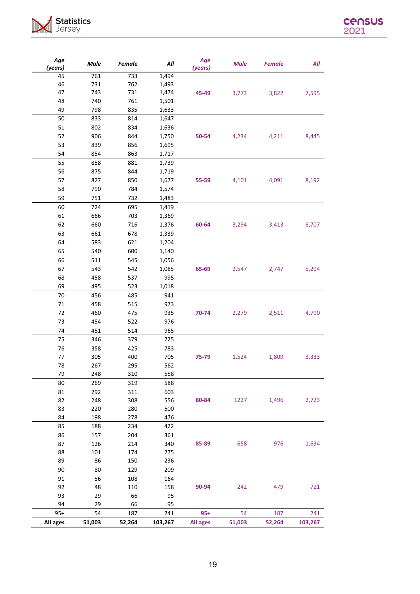



| Age<br>(years) | Male   | Female | All     | Age<br>(years) | <b>Male</b> | <b>Female</b> | All     |
|----------------|--------|--------|---------|----------------|-------------|---------------|---------|
| 45             | 761    | 733    | 1,494   |                |             |               |         |
| 46             | 731    | 762    | 1,493   |                |             |               |         |
| 47             | 743    | 731    | 1,474   | 45-49          | 3,773       | 3,822         | 7,595   |
| 48             | 740    | 761    | 1,501   |                |             |               |         |
| 49             | 798    | 835    | 1,633   |                |             |               |         |
| 50             | 833    | 814    | 1,647   |                |             |               |         |
| 51             | 802    | 834    | 1,636   |                |             |               |         |
| 52             | 906    | 844    | 1,750   | 50-54          | 4,234       | 4,211         | 8,445   |
| 53             | 839    | 856    | 1,695   |                |             |               |         |
| 54             | 854    | 863    | 1,717   |                |             |               |         |
| 55             | 858    | 881    | 1,739   |                |             |               |         |
| 56             | 875    | 844    | 1,719   |                |             |               |         |
| 57             | 827    | 850    | 1,677   | 55-59          | 4,101       | 4,091         | 8,192   |
| 58             | 790    | 784    | 1,574   |                |             |               |         |
| 59             | 751    | 732    | 1,483   |                |             |               |         |
| 60             | 724    | 695    | 1,419   |                |             |               |         |
| 61             | 666    | 703    | 1,369   |                |             |               |         |
| 62             | 660    | 716    | 1,376   | 60-64          | 3,294       | 3,413         | 6,707   |
| 63             | 661    | 678    | 1,339   |                |             |               |         |
| 64             | 583    | 621    | 1,204   |                |             |               |         |
| 65             | 540    | 600    | 1,140   |                |             |               |         |
| 66             | 511    | 545    | 1,056   |                |             |               |         |
| 67             | 543    | 542    | 1,085   | 65-69          | 2,547       | 2,747         | 5,294   |
| 68             | 458    | 537    | 995     |                |             |               |         |
| 69             | 495    | 523    | 1,018   |                |             |               |         |
| 70             | 456    | 485    | 941     |                |             |               |         |
| $71\,$         | 458    | 515    | 973     |                |             |               |         |
| 72             | 460    | 475    | 935     | 70-74          | 2,279       | 2,511         | 4,790   |
| 73             | 454    | 522    | 976     |                |             |               |         |
| 74             | 451    | 514    | 965     |                |             |               |         |
| 75             | 346    | 379    | 725     |                |             |               |         |
| 76             | 358    | 425    | 783     |                |             |               |         |
| 77             | 305    | 400    | 705     | 75-79          | 1,524       | 1,809         | 3,333   |
| 78             | 267    | 295    | 562     |                |             |               |         |
| 79             | 248    | 310    | 558     |                |             |               |         |
| 80             | 269    | 319    | 588     |                |             |               |         |
| 81             | 292    | 311    | 603     |                |             |               |         |
| 82             | 248    | 308    | 556     | 80-84          | 1227        | 1,496         | 2,723   |
| 83             | 220    | 280    | 500     |                |             |               |         |
| 84             | 198    | 278    | 476     |                |             |               |         |
| 85             | 188    | 234    | 422     |                |             |               |         |
| 86             | 157    | 204    | 361     |                |             |               |         |
| 87             | 126    | 214    | 340     | 85-89          | 658         | 976           | 1,634   |
| 88             | 101    | 174    | 275     |                |             |               |         |
| 89             | 86     | 150    | 236     |                |             |               |         |
| 90             | 80     | 129    | 209     |                |             |               |         |
| 91             | 56     | 108    | 164     |                |             |               |         |
| 92             | 48     | 110    | 158     | 90-94          | 242         | 479           | 721     |
| 93             | 29     | 66     | 95      |                |             |               |         |
| 94             | 29     | 66     | 95      |                |             |               |         |
| $95+$          | 54     | 187    | 241     | $95+$          | 54          | 187           | 241     |
| All ages       | 51,003 | 52,264 | 103,267 | All ages       | 51,003      | 52,264        | 103,267 |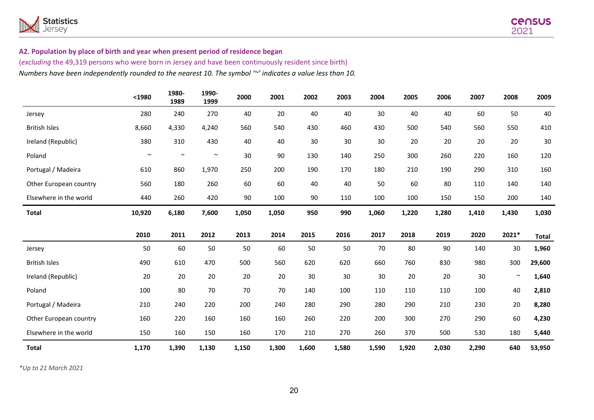

#### **A2. Population by place of birth and year when present period of residence began**

(*excluding* the 49,319 persons who were born in Jersey and have been continuously resident since birth) *Numbers have been independently rounded to the nearest 10. The symbol '~' indicates a value less than 10.*

|                        | $1980$ | 1980-<br>1989 | 1990-<br>1999 | 2000  | 2001  | 2002 | 2003 | 2004  | 2005  | 2006  | 2007  | 2008   | 2009         |
|------------------------|--------|---------------|---------------|-------|-------|------|------|-------|-------|-------|-------|--------|--------------|
| Jersey                 | 280    | 240           | 270           | 40    | 20    | 40   | 40   | 30    | 40    | 40    | 60    | 50     | 40           |
| <b>British Isles</b>   | 8,660  | 4,330         | 4,240         | 560   | 540   | 430  | 460  | 430   | 500   | 540   | 560   | 550    | 410          |
| Ireland (Republic)     | 380    | 310           | 430           | 40    | 40    | 30   | 30   | 30    | 20    | 20    | 20    | 20     | 30           |
| Poland                 | $\sim$ | $\sim$        | $\sim$        | 30    | 90    | 130  | 140  | 250   | 300   | 260   | 220   | 160    | 120          |
| Portugal / Madeira     | 610    | 860           | 1,970         | 250   | 200   | 190  | 170  | 180   | 210   | 190   | 290   | 310    | 160          |
| Other European country | 560    | 180           | 260           | 60    | 60    | 40   | 40   | 50    | 60    | 80    | 110   | 140    | 140          |
| Elsewhere in the world | 440    | 260           | 420           | 90    | 100   | 90   | 110  | 100   | 100   | 150   | 150   | 200    | 140          |
| <b>Total</b>           | 10,920 | 6,180         | 7,600         | 1,050 | 1,050 | 950  | 990  | 1,060 | 1,220 | 1,280 | 1,410 | 1,430  | 1,030        |
|                        | 2010   | 2011          | 2012          | 2013  | 2014  | 2015 | 2016 | 2017  | 2018  | 2019  | 2020  | 2021*  | <b>Total</b> |
| Jersey                 | 50     | 60            | 50            | 50    | 60    | 50   | 50   | 70    | 80    | 90    | 140   | 30     | 1,960        |
| <b>British Isles</b>   | 490    | 610           | 470           | 500   | 560   | 620  | 620  | 660   | 760   | 830   | 980   | 300    | 29,600       |
| Ireland (Republic)     | 20     | 20            | 20            | 20    | 20    | 30   | 30   | 30    | 20    | 20    | 30    | $\sim$ | 1,640        |
| Poland                 | 100    | 80            | 70            | 70    | 70    | 140  | 100  | 110   | 110   | 110   | 100   | 40     | 2,810        |
| Portugal / Madeira     | 210    | 240           | 220           | 200   | 240   | 280  | 290  | 280   | 290   | 210   | 230   | 20     | 8,280        |
| Other European country | 160    | 220           | 160           | 160   | 160   | 260  | 220  | 200   | 300   | 270   | 290   | 60     | 4,230        |
| Elsewhere in the world | 150    | 160           | 150           | 160   | 170   | 210  | 270  | 260   | 370   | 500   | 530   | 180    | 5,440        |
|                        |        |               |               |       |       |      |      |       |       |       |       |        |              |

*\*Up to 21 March 2021*